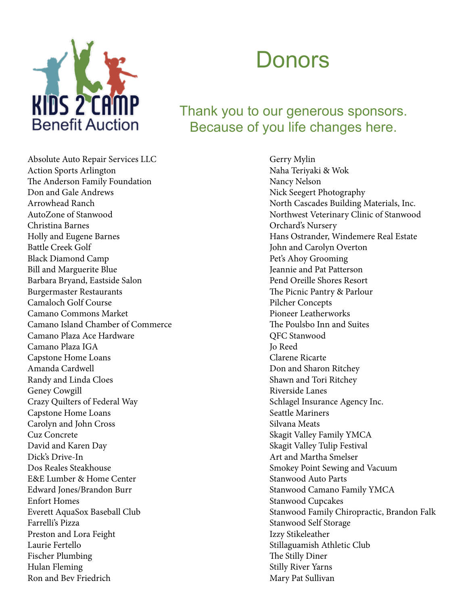

## Donors

## Thank you to our generous sponsors. Because of you life changes here.

Absolute Auto Repair Services LLC Action Sports Arlington The Anderson Family Foundation Don and Gale Andrews Arrowhead Ranch AutoZone of Stanwood Christina Barnes Holly and Eugene Barnes Battle Creek Golf Black Diamond Camp Bill and Marguerite Blue Barbara Bryand, Eastside Salon Burgermaster Restaurants Camaloch Golf Course Camano Commons Market Camano Island Chamber of Commerce Camano Plaza Ace Hardware Camano Plaza IGA Capstone Home Loans Amanda Cardwell Randy and Linda Cloes Geney Cowgill Crazy Quilters of Federal Way Capstone Home Loans Carolyn and John Cross Cuz Concrete David and Karen Day Dick's Drive-In Dos Reales Steakhouse E&E Lumber & Home Center Edward Jones/Brandon Burr Enfort Homes Everett AquaSox Baseball Club Farrelli's Pizza Preston and Lora Feight Laurie Fertello Fischer Plumbing Hulan Fleming Ron and Bev Friedrich

Gerry Mylin Naha Teriyaki & Wok Nancy Nelson Nick Seegert Photography North Cascades Building Materials, Inc. Northwest Veterinary Clinic of Stanwood Orchard's Nursery Hans Ostrander, Windemere Real Estate John and Carolyn Overton Pet's Ahoy Grooming Jeannie and Pat Patterson Pend Oreille Shores Resort The Picnic Pantry & Parlour Pilcher Concepts Pioneer Leatherworks The Poulsbo Inn and Suites QFC Stanwood Jo Reed Clarene Ricarte Don and Sharon Ritchey Shawn and Tori Ritchey Riverside Lanes Schlagel Insurance Agency Inc. Seattle Mariners Silvana Meats Skagit Valley Family YMCA Skagit Valley Tulip Festival Art and Martha Smelser Smokey Point Sewing and Vacuum Stanwood Auto Parts Stanwood Camano Family YMCA Stanwood Cupcakes Stanwood Family Chiropractic, Brandon Falk Stanwood Self Storage Izzy Stikeleather Stillaguamish Athletic Club The Stilly Diner Stilly River Yarns Mary Pat Sullivan